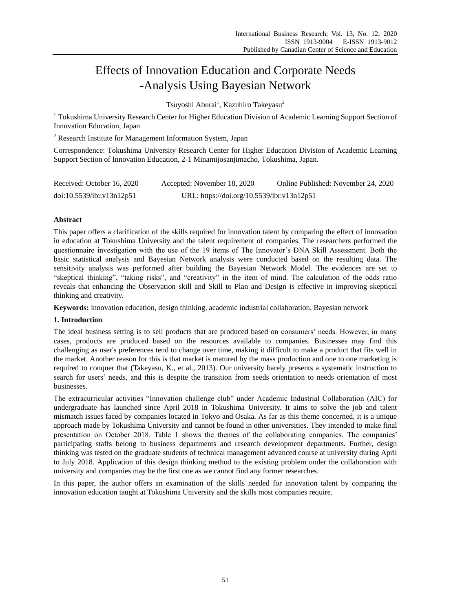# Effects of Innovation Education and Corporate Needs -Analysis Using Bayesian Network

Tsuyoshi Aburai<sup>1</sup>, Kazuhiro Takeyasu<sup>2</sup>

<sup>1</sup> Tokushima University Research Center for Higher Education Division of Academic Learning Support Section of Innovation Education, Japan

<sup>2</sup> Research Institute for Management Information System, Japan

Correspondence: Tokushima University Research Center for Higher Education Division of Academic Learning Support Section of Innovation Education, 2-1 Minamijosanjimacho, Tokushima, Japan.

| Received: October 16, 2020 | Accepted: November 18, 2020                | Online Published: November 24, 2020 |
|----------------------------|--------------------------------------------|-------------------------------------|
| doi:10.5539/ibr.v13n12p51  | URL: https://doi.org/10.5539/ibr.v13n12p51 |                                     |

## **Abstract**

This paper offers a clarification of the skills required for innovation talent by comparing the effect of innovation in education at Tokushima University and the talent requirement of companies. The researchers performed the questionnaire investigation with the use of the 19 items of The Innovator's DNA Skill Assessment. Both the basic statistical analysis and Bayesian Network analysis were conducted based on the resulting data. The sensitivity analysis was performed after building the Bayesian Network Model. The evidences are set to "skeptical thinking", "taking risks", and "creativity" in the item of mind. The calculation of the odds ratio reveals that enhancing the Observation skill and Skill to Plan and Design is effective in improving skeptical thinking and creativity.

**Keywords:** innovation education, design thinking, academic industrial collaboration, Bayesian network

## **1. Introduction**

The ideal business setting is to sell products that are produced based on consumers' needs. However, in many cases, products are produced based on the resources available to companies. Businesses may find this challenging as user's preferences tend to change over time, making it difficult to make a product that fits well in the market. Another reason for this is that market is matured by the mass production and one to one marketing is required to conquer that (Takeyasu, K., et al., 2013). Our university barely presents a systematic instruction to search for users' needs, and this is despite the transition from seeds orientation to needs orientation of most businesses.

The extracurricular activities "Innovation challenge club" under Academic Industrial Collaboration (AIC) for undergraduate has launched since April 2018 in Tokushima University. It aims to solve the job and talent mismatch issues faced by companies located in Tokyo and Osaka. As far as this theme concerned, it is a unique approach made by Tokushima University and cannot be found in other universities. They intended to make final presentation on October 2018. Table 1 shows the themes of the collaborating companies. The companies' participating staffs belong to business departments and research development departments. Further, design thinking was tested on the graduate students of technical management advanced course at university during April to July 2018. Application of this design thinking method to the existing problem under the collaboration with university and companies may be the first one as we cannot find any former researches.

In this paper, the author offers an examination of the skills needed for innovation talent by comparing the innovation education taught at Tokushima University and the skills most companies require.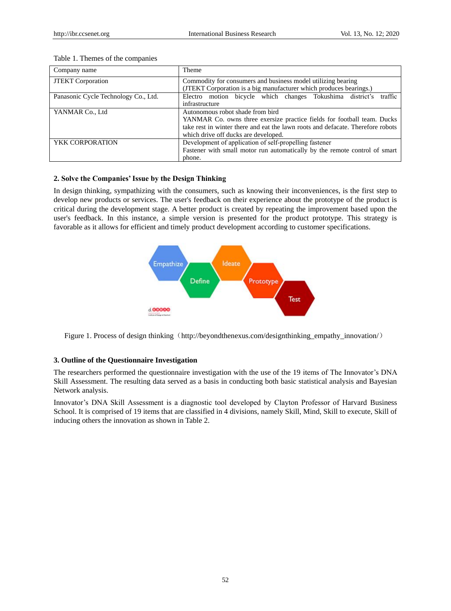| Company name                         | Theme                                                                           |  |  |  |  |  |  |
|--------------------------------------|---------------------------------------------------------------------------------|--|--|--|--|--|--|
| <b>JTEKT</b> Corporation             | Commodity for consumers and business model utilizing bearing                    |  |  |  |  |  |  |
|                                      | (JTEKT Corporation is a big manufacturer which produces bearings.)              |  |  |  |  |  |  |
| Panasonic Cycle Technology Co., Ltd. | traffic<br>Electro motion bicycle which changes Tokushima district's            |  |  |  |  |  |  |
|                                      | infrastructure                                                                  |  |  |  |  |  |  |
| YANMAR Co., Ltd                      | Autonomous robot shade from bird                                                |  |  |  |  |  |  |
|                                      | YANMAR Co. owns three exersize practice fields for football team. Ducks         |  |  |  |  |  |  |
|                                      | take rest in winter there and eat the lawn roots and defacate. Therefore robots |  |  |  |  |  |  |
|                                      | which drive off ducks are developed.                                            |  |  |  |  |  |  |
| YKK CORPORATION                      | Development of application of self-propelling fastener                          |  |  |  |  |  |  |
|                                      | Fastener with small motor run automatically by the remote control of smart      |  |  |  |  |  |  |
|                                      | phone.                                                                          |  |  |  |  |  |  |

#### Table 1. Themes of the companies

## **2. Solve the Companies' Issue by the Design Thinking**

In design thinking, sympathizing with the consumers, such as knowing their inconveniences, is the first step to develop new products or services. The user's feedback on their experience about the prototype of the product is critical during the development stage. A better product is created by repeating the improvement based upon the user's feedback. In this instance, a simple version is presented for the product prototype. This strategy is favorable as it allows for efficient and timely product development according to customer specifications.



Figure 1. Process of design thinking (http://beyondthenexus.com/designthinking\_empathy\_innovation/)

## **3. Outline of the Questionnaire Investigation**

The researchers performed the questionnaire investigation with the use of the 19 items of The Innovator's DNA Skill Assessment. The resulting data served as a basis in conducting both basic statistical analysis and Bayesian Network analysis.

Innovator's DNA Skill Assessment is a diagnostic tool developed by Clayton Professor of Harvard Business School. It is comprised of 19 items that are classified in 4 divisions, namely Skill, Mind, Skill to execute, Skill of inducing others the innovation as shown in Table 2.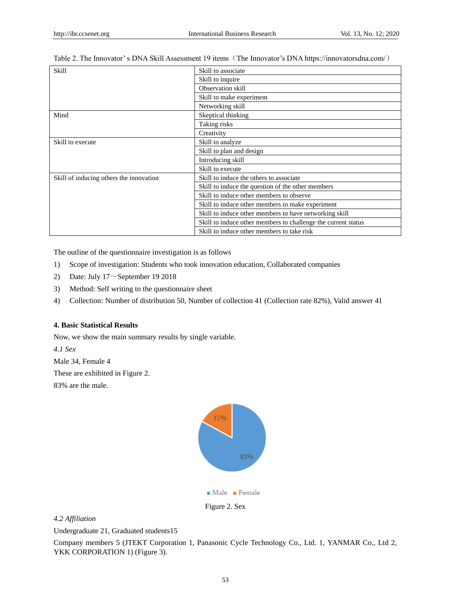| Skill                                   | Skill to associate                                            |
|-----------------------------------------|---------------------------------------------------------------|
|                                         | Skill to inquire                                              |
|                                         | Observation skill                                             |
|                                         | Skill to make experiment                                      |
|                                         | Networking skill                                              |
| Mind                                    | Skeptical thinking                                            |
|                                         | Taking risks                                                  |
|                                         | Creativity                                                    |
| Skill to execute                        | Skill to analyze                                              |
|                                         | Skill to plan and design                                      |
|                                         | Introducing skill                                             |
|                                         | Skill to execute                                              |
| Skill of inducing others the innovation | Skill to induce the others to associate                       |
|                                         | Skill to induce the question of the other members             |
|                                         | Skill to induce other members to observe                      |
|                                         | Skill to induce other members to make experiment              |
|                                         | Skill to induce other members to have networking skill        |
|                                         | Skill to induce other members to challenge the current status |
|                                         | Skill to induce other members to take risk                    |

|  | Table 2. The Innovator's DNA Skill Assessment 19 items (The Innovator's DNA https://innovatorsdna.com/) |
|--|---------------------------------------------------------------------------------------------------------|
|  |                                                                                                         |

The outline of the questionnaire investigation is as follows

- 1) Scope of investigation: Students who took innovation education, Collaborated companies
- 2) Date: July  $17 \sim$ September 19 2018
- 3) Method: Self writing to the questionnaire sheet
- 4) Collection: Number of distribution 50, Number of collection 41 (Collection rate 82%), Valid answer 41

## **4. Basic Statistical Results**

Now, we show the main summary results by single variable.

*4.1 Sex*

Male 34, Female 4

These are exhibited in Figure 2.

83% are the male.



## *4.2 Affiliation*

Undergraduate 21, Graduated students15

Company members 5 (JTEKT Corporation 1, Panasonic Cycle Technology Co., Ltd. 1, YANMAR Co., Ltd 2, YKK CORPORATION 1) (Figure 3).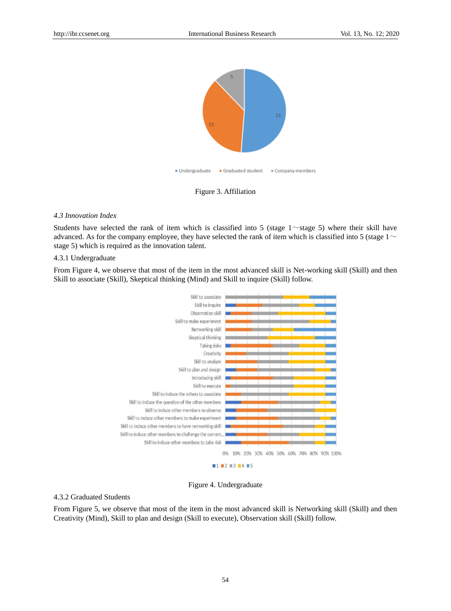

Figure 3. Affiliation

#### *4.3 Innovation Index*

Students have selected the rank of item which is classified into 5 (stage  $1 \sim$  stage 5) where their skill have advanced. As for the company employee, they have selected the rank of item which is classified into 5 (stage  $1~\sim$ stage 5) which is required as the innovation talent.

#### 4.3.1 Undergraduate

From Figure 4, we observe that most of the item in the most advanced skill is Net-working skill (Skill) and then Skill to associate (Skill), Skeptical thinking (Mind) and Skill to inquire (Skill) follow.



Figure 4. Undergraduate

#### 4.3.2 Graduated Students

From Figure 5, we observe that most of the item in the most advanced skill is Networking skill (Skill) and then Creativity (Mind), Skill to plan and design (Skill to execute), Observation skill (Skill) follow.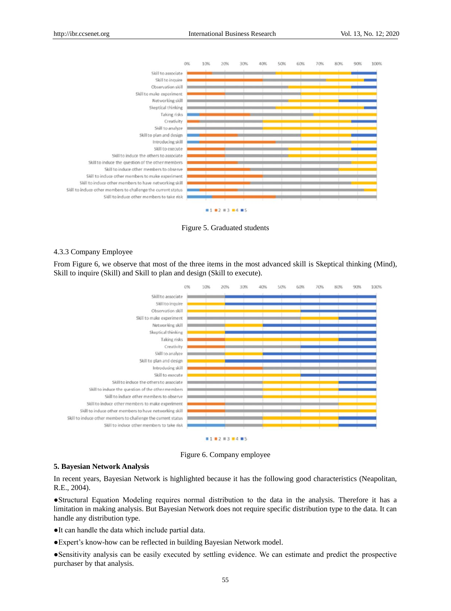

Figure 5. Graduated students

#### 4.3.3 Company Employee

From Figure 6, we observe that most of the three items in the most advanced skill is Skeptical thinking (Mind), Skill to inquire (Skill) and Skill to plan and design (Skill to execute).



Figure 6. Company employee

#### **5. Bayesian Network Analysis**

In recent years, Bayesian Network is highlighted because it has the following good characteristics (Neapolitan, R.E., 2004).

●Structural Equation Modeling requires normal distribution to the data in the analysis. Therefore it has a limitation in making analysis. But Bayesian Network does not require specific distribution type to the data. It can handle any distribution type.

●It can handle the data which include partial data.

●Expert's know-how can be reflected in building Bayesian Network model.

●Sensitivity analysis can be easily executed by settling evidence. We can estimate and predict the prospective purchaser by that analysis.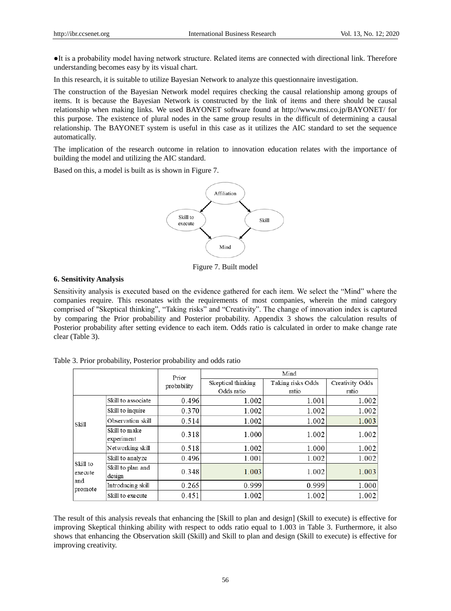●It is a probability model having network structure. Related items are connected with directional link. Therefore understanding becomes easy by its visual chart.

In this research, it is suitable to utilize Bayesian Network to analyze this questionnaire investigation.

The construction of the Bayesian Network model requires checking the causal relationship among groups of items. It is because the Bayesian Network is constructed by the link of items and there should be causal relationship when making links. We used BAYONET software found at http://www.msi.co.jp/BAYONET/ for this purpose. The existence of plural nodes in the same group results in the difficult of determining a causal relationship. The BAYONET system is useful in this case as it utilizes the AIC standard to set the sequence automatically.

The implication of the research outcome in relation to innovation education relates with the importance of building the model and utilizing the AIC standard.

Based on this, a model is built as is shown in Figure 7.



Figure 7. Built model

## **6. Sensitivity Analysis**

Sensitivity analysis is executed based on the evidence gathered for each item. We select the "Mind" where the companies require. This resonates with the requirements of most companies, wherein the mind category comprised of "Skeptical thinking", "Taking risks" and "Creativity". The change of innovation index is captured by comparing the Prior probability and Posterior probability. Appendix 3 shows the calculation results of Posterior probability after setting evidence to each item. Odds ratio is calculated in order to make change rate clear (Table 3).

|                     |                             | Prior       | Mind               |                   |                 |  |  |
|---------------------|-----------------------------|-------------|--------------------|-------------------|-----------------|--|--|
|                     |                             | probability | Skeptical thinking | Taking risks Odds | Creativity Odds |  |  |
|                     |                             |             | Odds ratio         | ratio             | ratio           |  |  |
|                     | Skill to associate          | 0.496       | 1.002              | 1.001             | 1.002           |  |  |
|                     | Skill to inquire            | 0.370       | 1.002              | 1.002             | 1.002           |  |  |
| Skill               | Observation skill           | 0.514       | 1.002              | 1.002             | 1.003           |  |  |
|                     | Skill to make<br>experiment | 0.318       | 1.000              | 1.002             | 1.002           |  |  |
|                     | Networking skill            | 0.518       | 1.002              | 1.000             | 1.002           |  |  |
|                     | Skill to analyze            | 0.496       | 1.001              | 1.002             | 1.002           |  |  |
| Skill to<br>execute | Skill to plan and<br>design | 0.348       | 1.003              | 1.002             | 1.003           |  |  |
| and<br>promote      | Introducing skill           | 0.265       | 0.999              | 0.999             | 1.000           |  |  |
|                     | Skill to execute            | 0.451       | 1.002              | 1.002             | 1.002           |  |  |

Table 3. Prior probability, Posterior probability and odds ratio

The result of this analysis reveals that enhancing the [Skill to plan and design] (Skill to execute) is effective for improving Skeptical thinking ability with respect to odds ratio equal to 1.003 in Table 3. Furthermore, it also shows that enhancing the Observation skill (Skill) and Skill to plan and design (Skill to execute) is effective for improving creativity.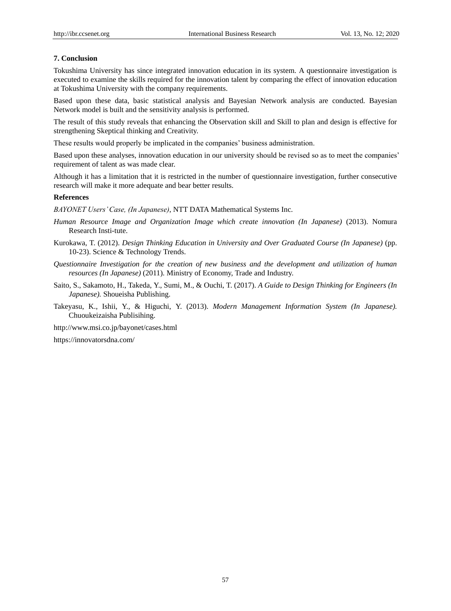#### **7. Conclusion**

Tokushima University has since integrated innovation education in its system. A questionnaire investigation is executed to examine the skills required for the innovation talent by comparing the effect of innovation education at Tokushima University with the company requirements.

Based upon these data, basic statistical analysis and Bayesian Network analysis are conducted. Bayesian Network model is built and the sensitivity analysis is performed.

The result of this study reveals that enhancing the Observation skill and Skill to plan and design is effective for strengthening Skeptical thinking and Creativity.

These results would properly be implicated in the companies' business administration.

Based upon these analyses, innovation education in our university should be revised so as to meet the companies' requirement of talent as was made clear.

Although it has a limitation that it is restricted in the number of questionnaire investigation, further consecutive research will make it more adequate and bear better results.

### **References**

*BAYONET Users' Case, (In Japanese)*, NTT DATA Mathematical Systems Inc.

- *Human Resource Image and Organization Image which create innovation (In Japanese)* (2013). Nomura Research Insti-tute.
- Kurokawa, T. (2012). *Design Thinking Education in University and Over Graduated Course (In Japanese)* (pp. 10-23). Science & Technology Trends.
- *Questionnaire Investigation for the creation of new business and the development and utilization of human resources (In Japanese)* (2011). Ministry of Economy, Trade and Industry.
- Saito, S., Sakamoto, H., Takeda, Y., Sumi, M., & Ouchi, T. (2017). *A Guide to Design Thinking for Engineers (In Japanese).* Shoueisha Publishing.
- Takeyasu, K., Ishii, Y., & Higuchi, Y. (2013). *Modern Management Information System (In Japanese).* Chuoukeizaisha Publisihing.

http://www.msi.co.jp/bayonet/cases.html

https://innovatorsdna.com/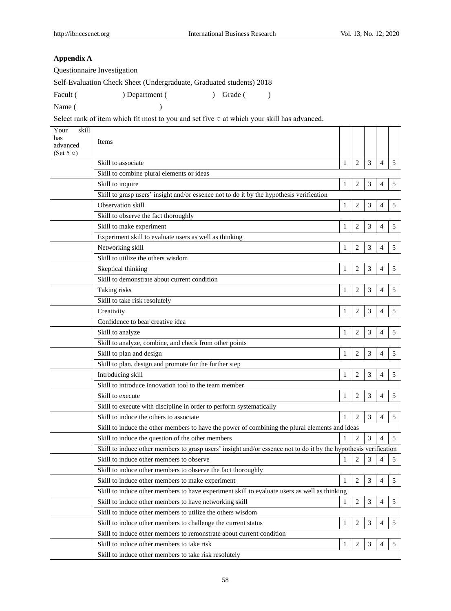## **Appendix A**

Questionnaire Investigation

Self-Evaluation Check Sheet (Undergraduate, Graduated students) 2018

Name ( )

Facult ( ) Department ( ) Grade ( )

Select rank of item which fit most to you and set five ○ at which your skill has advanced.

| Your<br>skill<br>has<br>advanced<br>$(Set 5 \circ)$ | <b>Items</b>                                                                                                     |              |                |                |                |   |
|-----------------------------------------------------|------------------------------------------------------------------------------------------------------------------|--------------|----------------|----------------|----------------|---|
|                                                     | Skill to associate                                                                                               | 1            | $\overline{2}$ | 3              | $\overline{4}$ | 5 |
|                                                     | Skill to combine plural elements or ideas                                                                        |              |                |                |                |   |
|                                                     | Skill to inquire                                                                                                 | $\mathbf{1}$ | 2              | 3              | 4              | 5 |
|                                                     | Skill to grasp users' insight and/or essence not to do it by the hypothesis verification                         |              |                |                |                |   |
|                                                     | Observation skill                                                                                                | 1            | 2              | 3              | 4              | 5 |
|                                                     | Skill to observe the fact thoroughly                                                                             |              |                |                |                |   |
|                                                     | Skill to make experiment                                                                                         | 1            | $\overline{2}$ | 3              | 4              | 5 |
|                                                     | Experiment skill to evaluate users as well as thinking                                                           |              |                |                |                |   |
|                                                     | Networking skill                                                                                                 | $\mathbf{1}$ | 2              | 3              | $\overline{4}$ | 5 |
|                                                     | Skill to utilize the others wisdom                                                                               |              |                |                |                |   |
|                                                     | Skeptical thinking                                                                                               | 1            | 2              | 3              | 4              | 5 |
|                                                     | Skill to demonstrate about current condition                                                                     |              |                |                |                |   |
|                                                     | Taking risks                                                                                                     | 1            | $\overline{2}$ | $\mathfrak{Z}$ | 4              | 5 |
|                                                     | Skill to take risk resolutely                                                                                    |              |                |                |                |   |
|                                                     | Creativity                                                                                                       | 1            | 2              | 3              | $\overline{4}$ | 5 |
|                                                     | Confidence to bear creative idea                                                                                 |              |                |                |                |   |
|                                                     | Skill to analyze                                                                                                 | 1            | 2              | 3              | 4              | 5 |
|                                                     | Skill to analyze, combine, and check from other points                                                           |              |                |                |                |   |
|                                                     | Skill to plan and design                                                                                         | 1            | $\overline{2}$ | $\mathfrak{Z}$ | $\overline{4}$ | 5 |
|                                                     | Skill to plan, design and promote for the further step                                                           |              |                |                |                |   |
|                                                     | Introducing skill                                                                                                | 1            | 2              | 3              | $\overline{4}$ | 5 |
|                                                     | Skill to introduce innovation tool to the team member                                                            |              |                |                |                |   |
|                                                     | Skill to execute                                                                                                 | 1            | 2              | 3              | 4              | 5 |
|                                                     | Skill to execute with discipline in order to perform systematically                                              |              |                |                |                |   |
|                                                     | Skill to induce the others to associate                                                                          | 1            | $\overline{2}$ | 3              | $\overline{4}$ | 5 |
|                                                     | Skill to induce the other members to have the power of combining the plural elements and ideas                   |              |                |                |                |   |
|                                                     | Skill to induce the question of the other members                                                                | 1            | $\overline{c}$ | 3              | $\overline{4}$ | 5 |
|                                                     | Skill to induce other members to grasp users' insight and/or essence not to do it by the hypothesis verification |              |                |                |                |   |
|                                                     | Skill to induce other members to observe                                                                         | 1            | 2              | 3              | $\overline{4}$ | 5 |
|                                                     | Skill to induce other members to observe the fact thoroughly                                                     |              |                |                |                |   |
|                                                     | Skill to induce other members to make experiment                                                                 | 1            | $\overline{2}$ | 3              | $\overline{4}$ | 5 |
|                                                     | Skill to induce other members to have experiment skill to evaluate users as well as thinking                     |              |                |                |                |   |
|                                                     | Skill to induce other members to have networking skill                                                           | 1            | $\overline{c}$ | 3              | $\overline{4}$ | 5 |
|                                                     | Skill to induce other members to utilize the others wisdom                                                       |              |                |                |                |   |
|                                                     | Skill to induce other members to challenge the current status                                                    | 1            | 2              | 3              | 4              | 5 |
|                                                     | Skill to induce other members to remonstrate about current condition                                             |              |                |                |                |   |
|                                                     | Skill to induce other members to take risk                                                                       | 1            | $\overline{2}$ | 3              | $\overline{4}$ | 5 |
|                                                     | Skill to induce other members to take risk resolutely                                                            |              |                |                |                |   |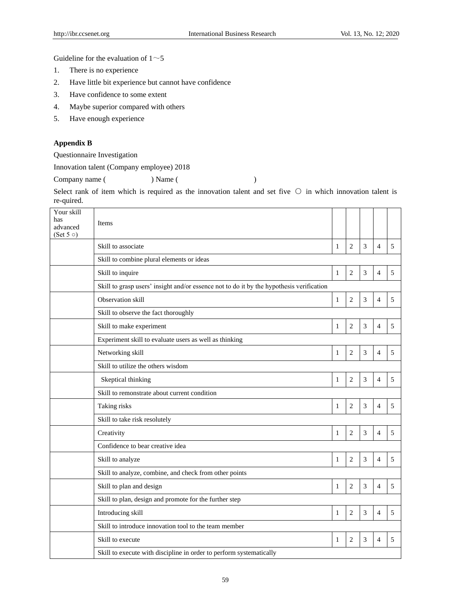Guideline for the evaluation of  $1~$ 

- 1. There is no experience
- 2. Have little bit experience but cannot have confidence
- 3. Have confidence to some extent
- 4. Maybe superior compared with others
- 5. Have enough experience

## **Appendix B**

Questionnaire Investigation

Innovation talent (Company employee) 2018

Company name ( ) Name ( )

Select rank of item which is required as the innovation talent and set five  $\circ$  in which innovation talent is re-quired.

| Your skill<br>has<br>advanced<br>(Set 5 $\circ$ ) | Items                                                                                    |              |                |   |                |   |
|---------------------------------------------------|------------------------------------------------------------------------------------------|--------------|----------------|---|----------------|---|
|                                                   | Skill to associate                                                                       | 1            | $\overline{2}$ | 3 | $\overline{4}$ | 5 |
|                                                   | Skill to combine plural elements or ideas                                                |              |                |   |                |   |
|                                                   | Skill to inquire                                                                         | $\mathbf{1}$ | $\overline{2}$ | 3 | $\overline{4}$ | 5 |
|                                                   | Skill to grasp users' insight and/or essence not to do it by the hypothesis verification |              |                |   |                |   |
|                                                   | Observation skill                                                                        | 1            | $\mathbf{2}$   | 3 | 4              | 5 |
|                                                   | Skill to observe the fact thoroughly                                                     |              |                |   |                |   |
|                                                   | Skill to make experiment                                                                 | 1            | $\mathbf{2}$   | 3 | $\overline{4}$ | 5 |
|                                                   | Experiment skill to evaluate users as well as thinking                                   |              |                |   |                |   |
|                                                   | Networking skill                                                                         | 1            | $\overline{2}$ | 3 | 4              | 5 |
|                                                   | Skill to utilize the others wisdom                                                       |              |                |   |                |   |
|                                                   | Skeptical thinking                                                                       | 1            | $\overline{2}$ | 3 | $\overline{4}$ | 5 |
|                                                   | Skill to remonstrate about current condition                                             |              |                |   |                |   |
|                                                   | Taking risks                                                                             | 1            | $\overline{2}$ | 3 | 4              | 5 |
|                                                   | Skill to take risk resolutely                                                            |              |                |   |                |   |
|                                                   | Creativity                                                                               | $\mathbf{1}$ | $\overline{2}$ | 3 | $\overline{4}$ | 5 |
|                                                   | Confidence to bear creative idea                                                         |              |                |   |                |   |
|                                                   | Skill to analyze                                                                         | $\mathbf{1}$ | $\overline{2}$ | 3 | $\overline{4}$ | 5 |
|                                                   | Skill to analyze, combine, and check from other points                                   |              |                |   |                |   |
|                                                   | Skill to plan and design                                                                 | $\mathbf{1}$ | $\overline{2}$ | 3 | $\overline{4}$ | 5 |
|                                                   | Skill to plan, design and promote for the further step                                   |              |                |   |                |   |
|                                                   | Introducing skill                                                                        | 1            | $\mathbf{2}$   | 3 | 4              | 5 |
|                                                   | Skill to introduce innovation tool to the team member                                    |              |                |   |                |   |
|                                                   | Skill to execute                                                                         | 1            | $\overline{2}$ | 3 | $\overline{4}$ | 5 |
|                                                   | Skill to execute with discipline in order to perform systematically                      |              |                |   |                |   |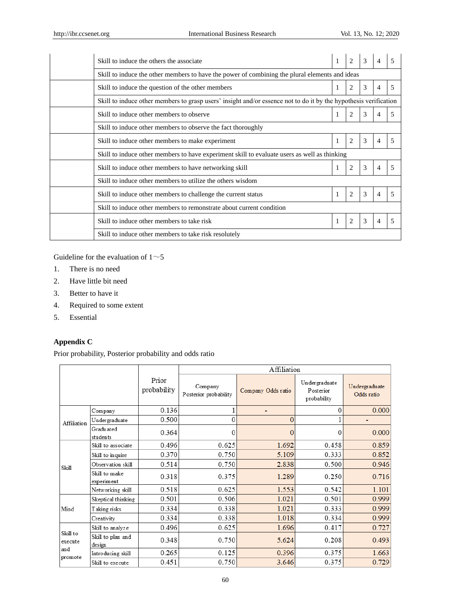| Skill to induce the others the associate                                                                         | 1 | 2 | 3 |                |   |  |  |  |
|------------------------------------------------------------------------------------------------------------------|---|---|---|----------------|---|--|--|--|
| Skill to induce the other members to have the power of combining the plural elements and ideas                   |   |   |   |                |   |  |  |  |
| Skill to induce the question of the other members                                                                |   | 2 | 3 | 4              |   |  |  |  |
| Skill to induce other members to grasp users' insight and/or essence not to do it by the hypothesis verification |   |   |   |                |   |  |  |  |
| Skill to induce other members to observe                                                                         |   | 2 | 3 | $\overline{4}$ | 5 |  |  |  |
| Skill to induce other members to observe the fact thoroughly                                                     |   |   |   |                |   |  |  |  |
| Skill to induce other members to make experiment                                                                 |   | 2 | 3 | 4              | 5 |  |  |  |
| Skill to induce other members to have experiment skill to evaluate users as well as thinking                     |   |   |   |                |   |  |  |  |
| Skill to induce other members to have networking skill                                                           |   | 2 | 3 | 4              |   |  |  |  |
| Skill to induce other members to utilize the others wisdom                                                       |   |   |   |                |   |  |  |  |
| Skill to induce other members to challenge the current status                                                    | 1 | 2 | 3 | 4              |   |  |  |  |
| Skill to induce other members to remonstrate about current condition                                             |   |   |   |                |   |  |  |  |
| Skill to induce other members to take risk                                                                       |   | 2 | 3 | 4              |   |  |  |  |
| Skill to induce other members to take risk resolutely                                                            |   |   |   |                |   |  |  |  |

Guideline for the evaluation of  $1~$ 

- 1. There is no need
- 2. Have little bit need
- 3. Better to have it
- 4. Required to some extent
- 5. Essential

## **Appendix C**

Prior probability, Posterior probability and odds ratio

|                     |                             |                      |                                  | Affiliation        |                                           |                             |
|---------------------|-----------------------------|----------------------|----------------------------------|--------------------|-------------------------------------------|-----------------------------|
|                     |                             | Prior<br>probability | Company<br>Posterior probability | Company Odds ratio | Undergraduate<br>Posterior<br>probability | Undergraduate<br>Odds ratio |
|                     | Company                     | 0.136                |                                  |                    | 0                                         | 0.000                       |
| Affiliation         | Undergraduate               | 0.500                | 0                                | $\overline{0}$     |                                           |                             |
|                     | Graduated<br>students       | 0.364                | 0                                | $\Omega$           |                                           | 0.000                       |
|                     | Skill to associate          | 0.496                | 0.625                            | 1.692              | 0.458                                     | 0.859                       |
|                     | Skill to inquire            | 0.370                | 0.750                            | 5.109              | 0.333                                     | 0.852                       |
| Skill               | Observation skill           | 0.514                | 0.750                            | 2.838              | 0.500                                     | 0.946                       |
|                     | Skill to make<br>experiment | 0.318                | 0.375                            | 1.289              | 0.250                                     | 0.716                       |
|                     | Networking skill            | 0.518                | 0.625                            | 1.553              | 0.542                                     | 1.101                       |
|                     | Skeptical thinking          | 0.501                | 0.506                            | 1.021              | 0.501                                     | 0.999                       |
| Mind                | Taking risks                | 0.334                | 0.338                            | 1.021              | 0.333                                     | 0.999                       |
|                     | Creativity                  | 0.334                | 0.338                            | 1.018              | 0.334                                     | 0.999                       |
|                     | Skill to analyze            | 0.496                | 0.625                            | 1.696              | 0.417                                     | 0.727                       |
| Skill to<br>execute | Skill to plan and<br>design | 0.348                | 0.750                            | 5.624              | 0.208                                     | 0.493                       |
| and<br>promote      | Introducing skill           | 0.265                | 0.125                            | 0.396              | 0.375                                     | 1.663                       |
|                     | Skill to execute            | 0.451                | 0.750                            | 3.646              | 0.375                                     | 0.729                       |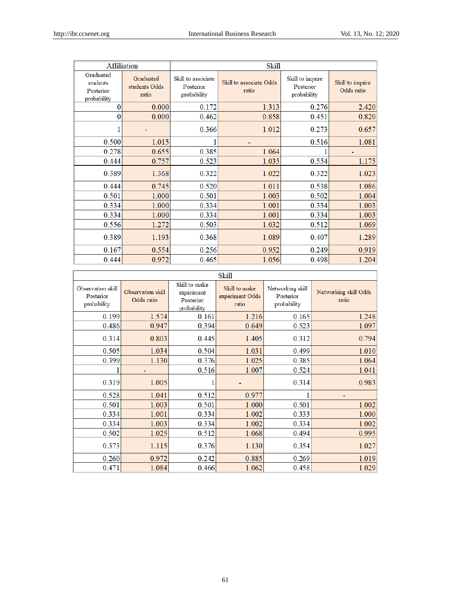٦

| Affiliation                                       |                                     | Skill                                          |                                  |                                              |                                |  |
|---------------------------------------------------|-------------------------------------|------------------------------------------------|----------------------------------|----------------------------------------------|--------------------------------|--|
| Graduated<br>students<br>Posterior<br>probability | Graduated<br>students Odds<br>ratio | Skill to associate<br>Posterior<br>probability | Skill to associate Odds<br>ratio | Skill to inquire<br>Posterior<br>probability | Skill to inquire<br>Odds ratio |  |
| $\theta$                                          | 0.000                               | 0.172                                          | 1.313                            | 0.276                                        | 2.420                          |  |
| $\theta$                                          | 0.000                               | 0.462                                          | 0.858                            | 0.451                                        | 0.820                          |  |
|                                                   |                                     | 0.366                                          | 1.012                            | 0.273                                        | 0.657                          |  |
| 0.500                                             | 1.015                               |                                                |                                  | 0.516                                        | 1.081                          |  |
| 0.278                                             | 0.655                               | 0.385                                          | 1.064                            |                                              |                                |  |
| 0.444                                             | 0.757                               | 0.523                                          | 1.035                            | 0.554                                        | 1.175                          |  |
| 0.389                                             | 1.368                               | 0.322                                          | 1.022                            | 0.322                                        | 1.023                          |  |
| 0.444                                             | 0.745                               | 0.520                                          | 1.011                            | 0.538                                        | 1.086                          |  |
| 0.501                                             | 1.000                               | 0.501                                          | 1.003                            | 0.502                                        | 1.004                          |  |
| 0.334                                             | 1.000                               | 0.334                                          | 1.001                            | 0.334                                        | 1.003                          |  |
| 0.334                                             | 1.000                               | 0.334                                          | 1.001                            | 0.334                                        | 1.003                          |  |
| 0.556                                             | 1.272                               | 0.503                                          | 1.032                            | 0.512                                        | 1.069                          |  |
| 0.389                                             | 1.193                               | 0.368                                          | 1.089                            | 0.407                                        | 1.289                          |  |
| 0.167                                             | 0.554                               | 0.256                                          | 0.952                            | 0.249                                        | 0.919                          |  |
| 0.444                                             | 0.972                               | 0.465                                          | 1.056                            | 0.498                                        | 1.204                          |  |

# Skill

|                                               | <b>Skill</b>                    |                                                         |                                           |                                              |                                |  |  |  |  |
|-----------------------------------------------|---------------------------------|---------------------------------------------------------|-------------------------------------------|----------------------------------------------|--------------------------------|--|--|--|--|
| Observation skill<br>Posterior<br>probability | Observation skill<br>Odds ratio | Skill to make<br>experiment<br>Posterior<br>probability | Skill to make<br>experiment Odds<br>ratio | Networking skill<br>Posterior<br>probability | Networking skill Odds<br>ratio |  |  |  |  |
| 0.199                                         | 1.574                           | 0.161                                                   | 1.216                                     | 0.165                                        | 1.248                          |  |  |  |  |
| 0.486                                         | 0.947                           | 0.394                                                   | 0.649                                     | 0.523                                        | 1.097                          |  |  |  |  |
| 0.314                                         | 0.803                           | 0.445                                                   | 1.405                                     | 0.312                                        | 0.794                          |  |  |  |  |
| 0.505                                         | 1.034                           | 0.504                                                   | 1.031                                     | 0.499                                        | 1.010                          |  |  |  |  |
| 0.399                                         | 1.130                           | 0.376                                                   | 1.025                                     | 0.385                                        | 1.064                          |  |  |  |  |
|                                               |                                 | 0.516                                                   | 1.007                                     | 0.524                                        | 1.041                          |  |  |  |  |
| 0.319                                         | 1.005                           | 1                                                       |                                           | 0.314                                        | 0.983                          |  |  |  |  |
| 0.528                                         | 1.041                           | 0.512                                                   | 0.977                                     |                                              |                                |  |  |  |  |
| 0.501                                         | 1.003                           | 0.501                                                   | 1.000                                     | 0.501                                        | 1.002                          |  |  |  |  |
| 0.334                                         | 1.001                           | 0.334                                                   | 1.002                                     | 0.333                                        | 1.000                          |  |  |  |  |
| 0.334                                         | 1.003                           | 0.334                                                   | 1.002                                     | 0.334                                        | 1.002                          |  |  |  |  |
| 0.502                                         | 1.025                           | 0.512                                                   | 1.068                                     | 0.494                                        | 0.995                          |  |  |  |  |
| 0.373                                         | 1.115                           | 0.376                                                   | 1.130                                     | 0.354                                        | 1.027                          |  |  |  |  |
| 0.260                                         | 0.972                           | 0.242                                                   | 0.885                                     | 0.269                                        | 1.019                          |  |  |  |  |
| 0.471                                         | 1.084                           | 0.466                                                   | 1.062                                     | 0.458                                        | 1.029                          |  |  |  |  |